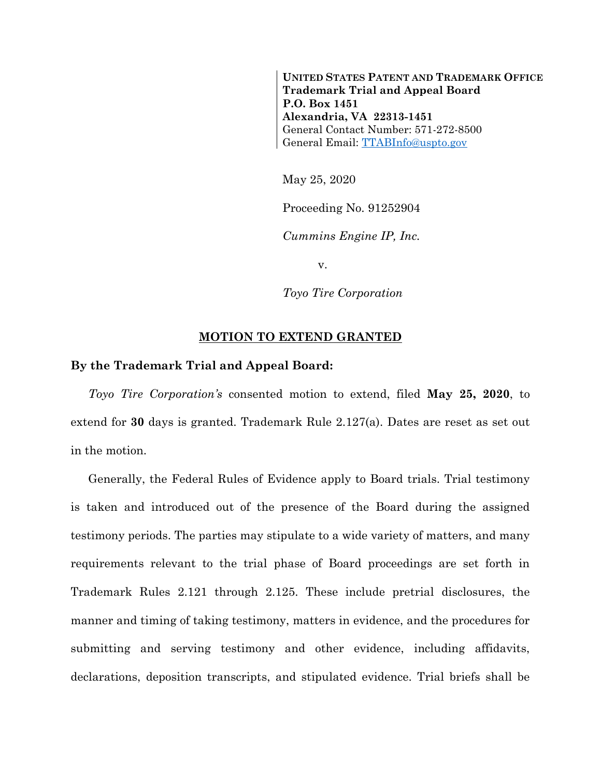**UNITED STATES PATENT AND TRADEMARK OFFICE Trademark Trial and Appeal Board P.O. Box 1451 Alexandria, VA 22313-1451** General Contact Number: 571-272-8500 General Email: [TTABInfo@uspto.gov](mailto:TTABInfo@uspto.gov)

May 25, 2020

Proceeding No. 91252904

*Cummins Engine IP, Inc.*

v.

*Toyo Tire Corporation*

## **MOTION TO EXTEND GRANTED**

## **By the Trademark Trial and Appeal Board:**

*Toyo Tire Corporation's* consented motion to extend, filed **May 25, 2020**, to extend for **30** days is granted. Trademark Rule 2.127(a). Dates are reset as set out in the motion.

Generally, the Federal Rules of Evidence apply to Board trials. Trial testimony is taken and introduced out of the presence of the Board during the assigned testimony periods. The parties may stipulate to a wide variety of matters, and many requirements relevant to the trial phase of Board proceedings are set forth in Trademark Rules 2.121 through 2.125. These include pretrial disclosures, the manner and timing of taking testimony, matters in evidence, and the procedures for submitting and serving testimony and other evidence, including affidavits, declarations, deposition transcripts, and stipulated evidence. Trial briefs shall be